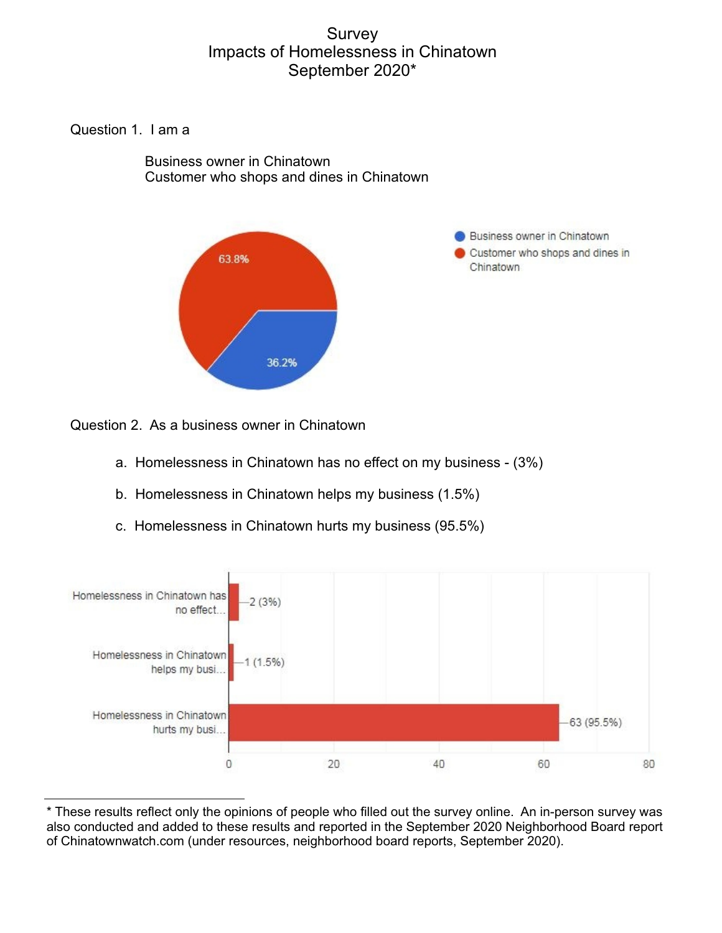# Survey Impacts of Homelessness in Chinatown September 2020\*

Question 1. I am a

 Business owner in Chinatown Customer who shops and dines in Chinatown



Business owner in Chinatown Customer who shops and dines in Chinatown

Question 2. As a business owner in Chinatown

- a. Homelessness in Chinatown has no effect on my business (3%)
- b. Homelessness in Chinatown helps my business (1.5%)
- c. Homelessness in Chinatown hurts my business (95.5%)



<sup>\*</sup> These results reflect only the opinions of people who filled out the survey online. An in-person survey was also conducted and added to these results and reported in the September 2020 Neighborhood Board report of Chinatownwatch.com (under resources, neighborhood board reports, September 2020).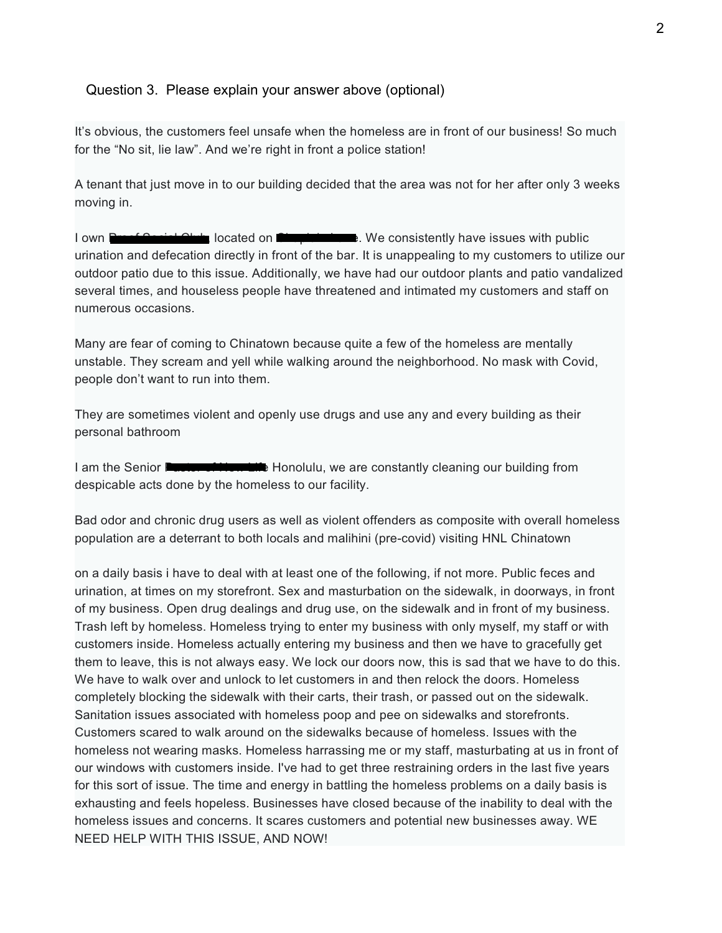#### Question 3. Please explain your answer above (optional)

It's obvious, the customers feel unsafe when the homeless are in front of our business! So much for the "No sit, lie law". And we're right in front a police station!

A tenant that just move in to our building decided that the area was not for her after only 3 weeks moving in.

I own **Proof Social Club,** located on **Chaplain Lane.** We consistently have issues with public urination and defecation directly in front of the bar. It is unappealing to my customers to utilize our outdoor patio due to this issue. Additionally, we have had our outdoor plants and patio vandalized several times, and houseless people have threatened and intimated my customers and staff on numerous occasions.

Many are fear of coming to Chinatown because quite a few of the homeless are mentally unstable. They scream and yell while walking around the neighborhood. No mask with Covid, people don't want to run into them.

They are sometimes violent and openly use drugs and use any and every building as their personal bathroom

I am the Senior **Passed of New Life Honolulu**, we are constantly cleaning our building from despicable acts done by the homeless to our facility.

Bad odor and chronic drug users as well as violent offenders as composite with overall homeless population are a deterrant to both locals and malihini (pre-covid) visiting HNL Chinatown

on a daily basis i have to deal with at least one of the following, if not more. Public feces and urination, at times on my storefront. Sex and masturbation on the sidewalk, in doorways, in front of my business. Open drug dealings and drug use, on the sidewalk and in front of my business. Trash left by homeless. Homeless trying to enter my business with only myself, my staff or with customers inside. Homeless actually entering my business and then we have to gracefully get them to leave, this is not always easy. We lock our doors now, this is sad that we have to do this. We have to walk over and unlock to let customers in and then relock the doors. Homeless completely blocking the sidewalk with their carts, their trash, or passed out on the sidewalk. Sanitation issues associated with homeless poop and pee on sidewalks and storefronts. Customers scared to walk around on the sidewalks because of homeless. Issues with the homeless not wearing masks. Homeless harrassing me or my staff, masturbating at us in front of our windows with customers inside. I've had to get three restraining orders in the last five years for this sort of issue. The time and energy in battling the homeless problems on a daily basis is exhausting and feels hopeless. Businesses have closed because of the inability to deal with the homeless issues and concerns. It scares customers and potential new businesses away. WE NEED HELP WITH THIS ISSUE, AND NOW!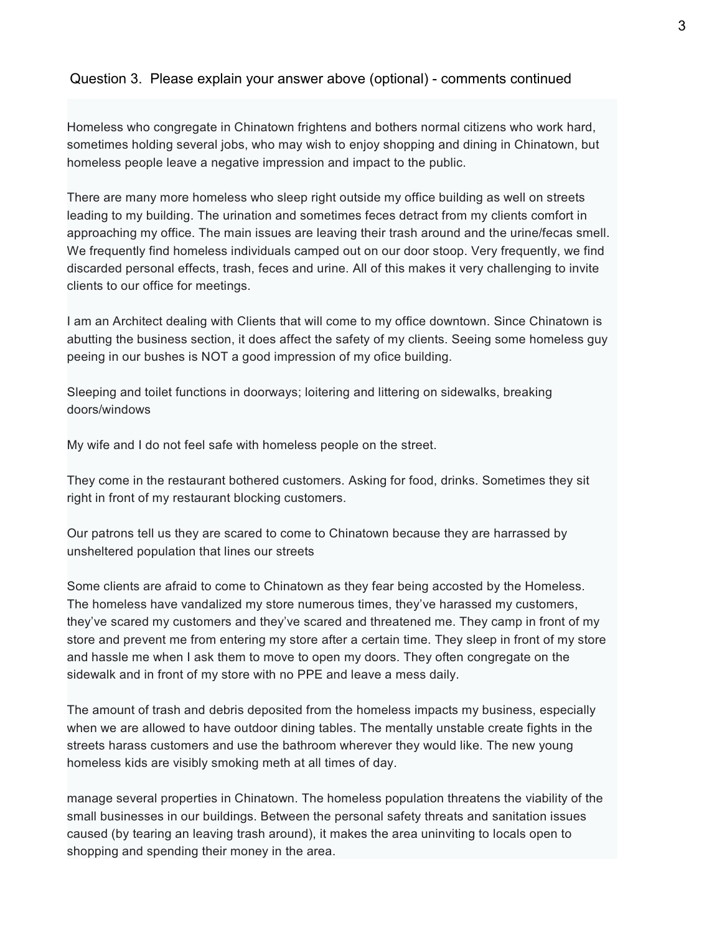Homeless who congregate in Chinatown frightens and bothers normal citizens who work hard, sometimes holding several jobs, who may wish to enjoy shopping and dining in Chinatown, but homeless people leave a negative impression and impact to the public.

There are many more homeless who sleep right outside my office building as well on streets leading to my building. The urination and sometimes feces detract from my clients comfort in approaching my office. The main issues are leaving their trash around and the urine/fecas smell. We frequently find homeless individuals camped out on our door stoop. Very frequently, we find discarded personal effects, trash, feces and urine. All of this makes it very challenging to invite clients to our office for meetings.

I am an Architect dealing with Clients that will come to my office downtown. Since Chinatown is abutting the business section, it does affect the safety of my clients. Seeing some homeless guy peeing in our bushes is NOT a good impression of my ofice building.

Sleeping and toilet functions in doorways; loitering and littering on sidewalks, breaking doors/windows

My wife and I do not feel safe with homeless people on the street.

They come in the restaurant bothered customers. Asking for food, drinks. Sometimes they sit right in front of my restaurant blocking customers.

Our patrons tell us they are scared to come to Chinatown because they are harrassed by unsheltered population that lines our streets

Some clients are afraid to come to Chinatown as they fear being accosted by the Homeless. The homeless have vandalized my store numerous times, they've harassed my customers, they've scared my customers and they've scared and threatened me. They camp in front of my store and prevent me from entering my store after a certain time. They sleep in front of my store and hassle me when I ask them to move to open my doors. They often congregate on the sidewalk and in front of my store with no PPE and leave a mess daily.

The amount of trash and debris deposited from the homeless impacts my business, especially when we are allowed to have outdoor dining tables. The mentally unstable create fights in the streets harass customers and use the bathroom wherever they would like. The new young homeless kids are visibly smoking meth at all times of day.

manage several properties in Chinatown. The homeless population threatens the viability of the small businesses in our buildings. Between the personal safety threats and sanitation issues caused (by tearing an leaving trash around), it makes the area uninviting to locals open to shopping and spending their money in the area.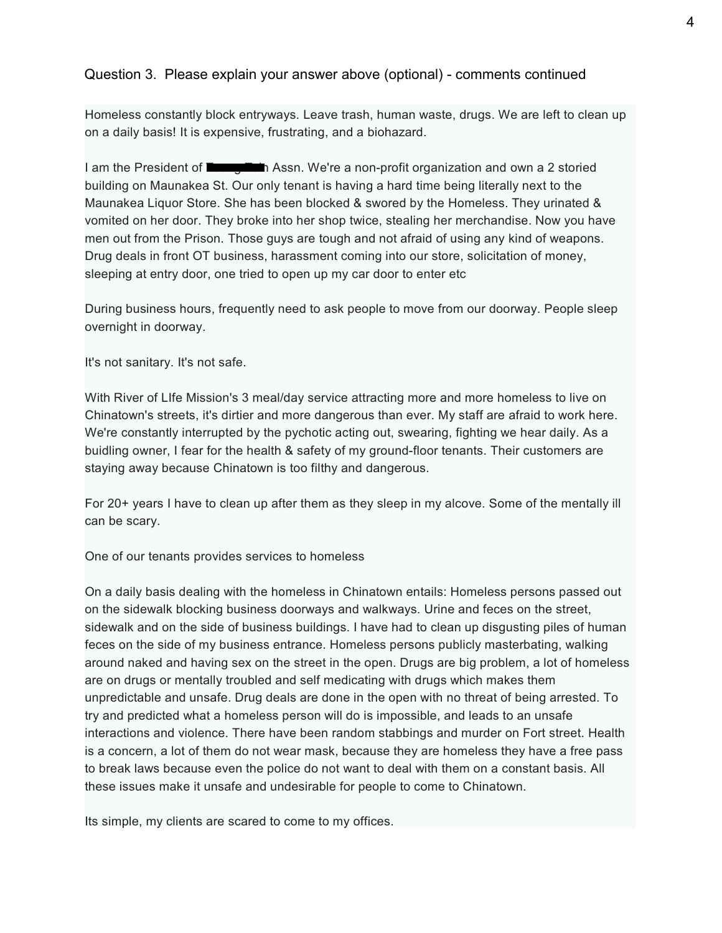Homeless constantly block entryways. Leave trash, human waste, drugs. We are left to clean up on a daily basis! It is expensive, frustrating, and a biohazard.

I am the President of Tsung Tsin Assn. We're a non-profit organization and own a 2 storied building on Maunakea St. Our only tenant is having a hard time being literally next to the Maunakea Liquor Store. She has been blocked & swored by the Homeless. They urinated & vomited on her door. They broke into her shop twice, stealing her merchandise. Now you have men out from the Prison. Those guys are tough and not afraid of using any kind of weapons. Drug deals in front OT business, harassment coming into our store, solicitation of money, sleeping at entry door, one tried to open up my car door to enter etc

During business hours, frequently need to ask people to move from our doorway. People sleep overnight in doorway.

It's not sanitary. It's not safe.

With River of LIfe Mission's 3 meal/day service attracting more and more homeless to live on Chinatown's streets, it's dirtier and more dangerous than ever. My staff are afraid to work here. We're constantly interrupted by the pychotic acting out, swearing, fighting we hear daily. As a buidling owner, I fear for the health & safety of my ground-floor tenants. Their customers are staying away because Chinatown is too filthy and dangerous.

For 20+ years I have to clean up after them as they sleep in my alcove. Some of the mentally ill can be scary.

One of our tenants provides services to homeless

On a daily basis dealing with the homeless in Chinatown entails: Homeless persons passed out on the sidewalk blocking business doorways and walkways. Urine and feces on the street, sidewalk and on the side of business buildings. I have had to clean up disgusting piles of human feces on the side of my business entrance. Homeless persons publicly masterbating, walking around naked and having sex on the street in the open. Drugs are big problem, a lot of homeless are on drugs or mentally troubled and self medicating with drugs which makes them unpredictable and unsafe. Drug deals are done in the open with no threat of being arrested. To try and predicted what a homeless person will do is impossible, and leads to an unsafe interactions and violence. There have been random stabbings and murder on Fort street. Health is a concern, a lot of them do not wear mask, because they are homeless they have a free pass to break laws because even the police do not want to deal with them on a constant basis. All these issues make it unsafe and undesirable for people to come to Chinatown.

Its simple, my clients are scared to come to my offices.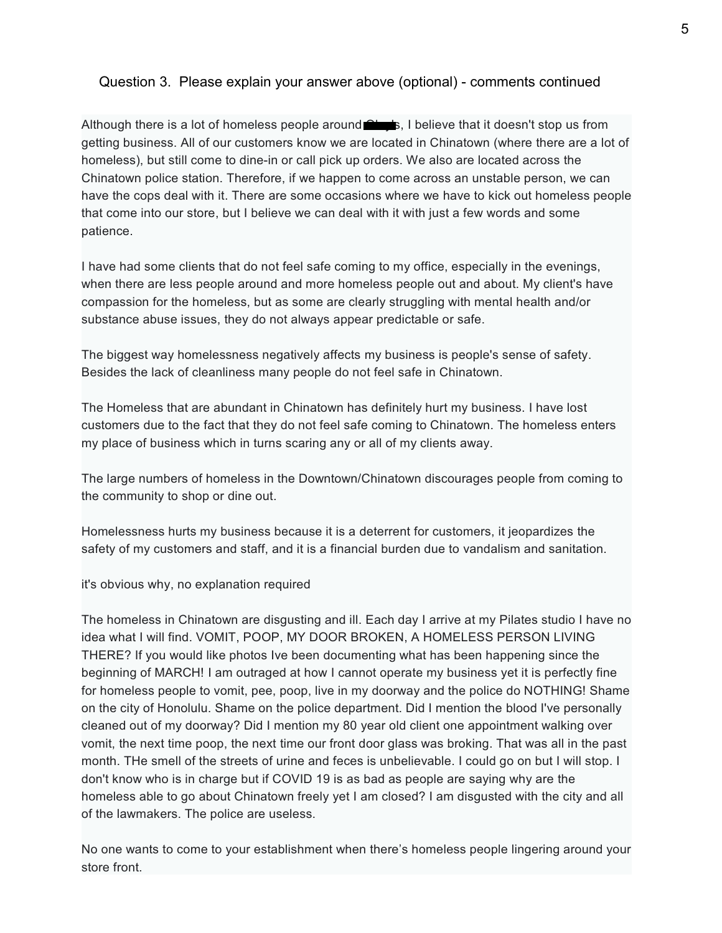Although there is a lot of homeless people around  $\mathbb{R}$  is, I believe that it doesn't stop us from getting business. All of our customers know we are located in Chinatown (where there are a lot of homeless), but still come to dine-in or call pick up orders. We also are located across the Chinatown police station. Therefore, if we happen to come across an unstable person, we can have the cops deal with it. There are some occasions where we have to kick out homeless people that come into our store, but I believe we can deal with it with just a few words and some patience.

I have had some clients that do not feel safe coming to my office, especially in the evenings, when there are less people around and more homeless people out and about. My client's have compassion for the homeless, but as some are clearly struggling with mental health and/or substance abuse issues, they do not always appear predictable or safe.

The biggest way homelessness negatively affects my business is people's sense of safety. Besides the lack of cleanliness many people do not feel safe in Chinatown.

The Homeless that are abundant in Chinatown has definitely hurt my business. I have lost customers due to the fact that they do not feel safe coming to Chinatown. The homeless enters my place of business which in turns scaring any or all of my clients away.

The large numbers of homeless in the Downtown/Chinatown discourages people from coming to the community to shop or dine out.

Homelessness hurts my business because it is a deterrent for customers, it jeopardizes the safety of my customers and staff, and it is a financial burden due to vandalism and sanitation.

it's obvious why, no explanation required

The homeless in Chinatown are disgusting and ill. Each day I arrive at my Pilates studio I have no idea what I will find. VOMIT, POOP, MY DOOR BROKEN, A HOMELESS PERSON LIVING THERE? If you would like photos Ive been documenting what has been happening since the beginning of MARCH! I am outraged at how I cannot operate my business yet it is perfectly fine for homeless people to vomit, pee, poop, live in my doorway and the police do NOTHING! Shame on the city of Honolulu. Shame on the police department. Did I mention the blood I've personally cleaned out of my doorway? Did I mention my 80 year old client one appointment walking over vomit, the next time poop, the next time our front door glass was broking. That was all in the past month. THe smell of the streets of urine and feces is unbelievable. I could go on but I will stop. I don't know who is in charge but if COVID 19 is as bad as people are saying why are the homeless able to go about Chinatown freely yet I am closed? I am disgusted with the city and all of the lawmakers. The police are useless.

No one wants to come to your establishment when there's homeless people lingering around your store front.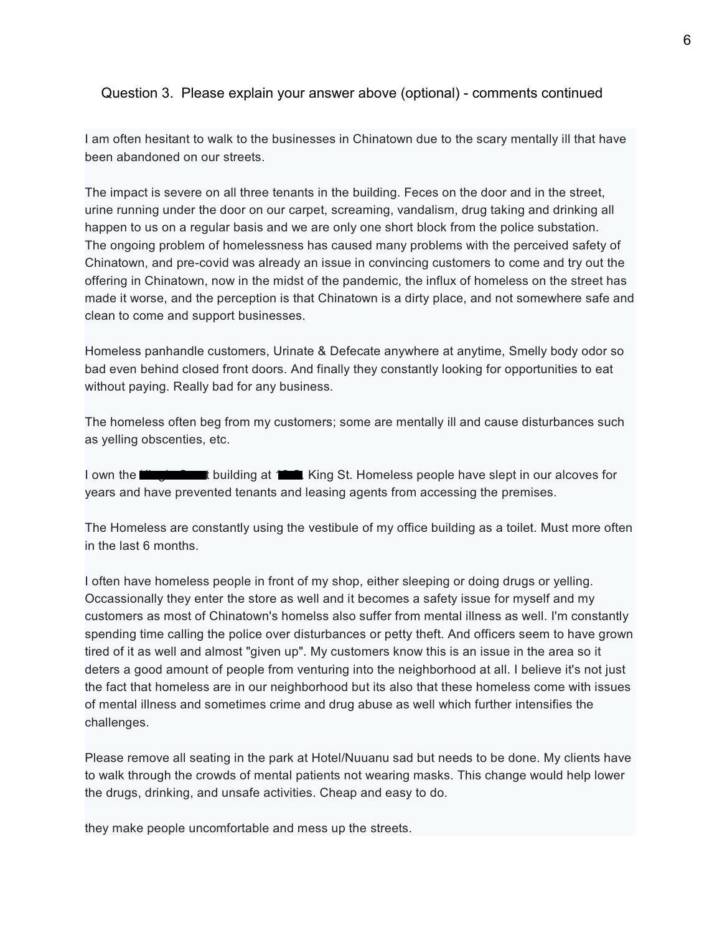I am often hesitant to walk to the businesses in Chinatown due to the scary mentally ill that have been abandoned on our streets.

The impact is severe on all three tenants in the building. Feces on the door and in the street, urine running under the door on our carpet, screaming, vandalism, drug taking and drinking all happen to us on a regular basis and we are only one short block from the police substation. The ongoing problem of homelessness has caused many problems with the perceived safety of Chinatown, and pre-covid was already an issue in convincing customers to come and try out the offering in Chinatown, now in the midst of the pandemic, the influx of homeless on the street has made it worse, and the perception is that Chinatown is a dirty place, and not somewhere safe and clean to come and support businesses.

Homeless panhandle customers, Urinate & Defecate anywhere at anytime, Smelly body odor so bad even behind closed front doors. And finally they constantly looking for opportunities to eat without paying. Really bad for any business.

The homeless often beg from my customers; some are mentally ill and cause disturbances such as yelling obscenties, etc.

I own the **King's Court building at 12 St.** King St. Homeless people have slept in our alcoves for years and have prevented tenants and leasing agents from accessing the premises.

The Homeless are constantly using the vestibule of my office building as a toilet. Must more often in the last 6 months.

I often have homeless people in front of my shop, either sleeping or doing drugs or yelling. Occassionally they enter the store as well and it becomes a safety issue for myself and my customers as most of Chinatown's homelss also suffer from mental illness as well. I'm constantly spending time calling the police over disturbances or petty theft. And officers seem to have grown tired of it as well and almost "given up". My customers know this is an issue in the area so it deters a good amount of people from venturing into the neighborhood at all. I believe it's not just the fact that homeless are in our neighborhood but its also that these homeless come with issues of mental illness and sometimes crime and drug abuse as well which further intensifies the challenges.

Please remove all seating in the park at Hotel/Nuuanu sad but needs to be done. My clients have to walk through the crowds of mental patients not wearing masks. This change would help lower the drugs, drinking, and unsafe activities. Cheap and easy to do.

they make people uncomfortable and mess up the streets.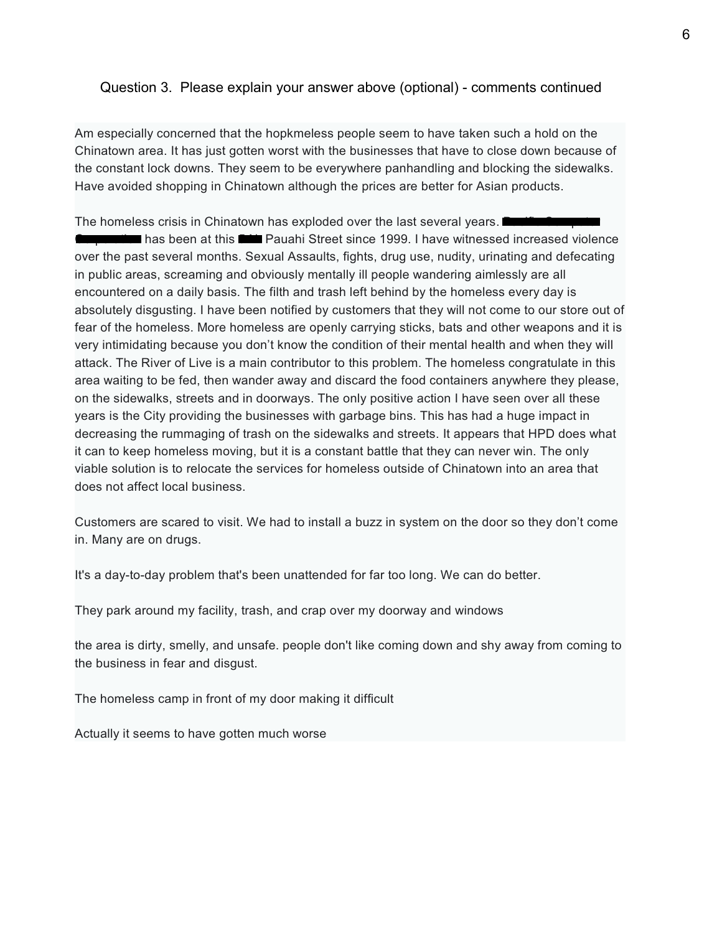Am especially concerned that the hopkmeless people seem to have taken such a hold on the Chinatown area. It has just gotten worst with the businesses that have to close down because of the constant lock downs. They seem to be everywhere panhandling and blocking the sidewalks. Have avoided shopping in Chinatown although the prices are better for Asian products.

The homeless crisis in Chinatown has exploded over the last several years. I has been at this **CORP** Pauahi Street since 1999. I have witnessed increased violence over the past several months. Sexual Assaults, fights, drug use, nudity, urinating and defecating in public areas, screaming and obviously mentally ill people wandering aimlessly are all encountered on a daily basis. The filth and trash left behind by the homeless every day is absolutely disgusting. I have been notified by customers that they will not come to our store out of fear of the homeless. More homeless are openly carrying sticks, bats and other weapons and it is very intimidating because you don't know the condition of their mental health and when they will attack. The River of Live is a main contributor to this problem. The homeless congratulate in this area waiting to be fed, then wander away and discard the food containers anywhere they please, on the sidewalks, streets and in doorways. The only positive action I have seen over all these years is the City providing the businesses with garbage bins. This has had a huge impact in decreasing the rummaging of trash on the sidewalks and streets. It appears that HPD does what it can to keep homeless moving, but it is a constant battle that they can never win. The only viable solution is to relocate the services for homeless outside of Chinatown into an area that does not affect local business.

Customers are scared to visit. We had to install a buzz in system on the door so they don't come in. Many are on drugs.

It's a day-to-day problem that's been unattended for far too long. We can do better.

They park around my facility, trash, and crap over my doorway and windows

the area is dirty, smelly, and unsafe. people don't like coming down and shy away from coming to the business in fear and disgust.

The homeless camp in front of my door making it difficult

Actually it seems to have gotten much worse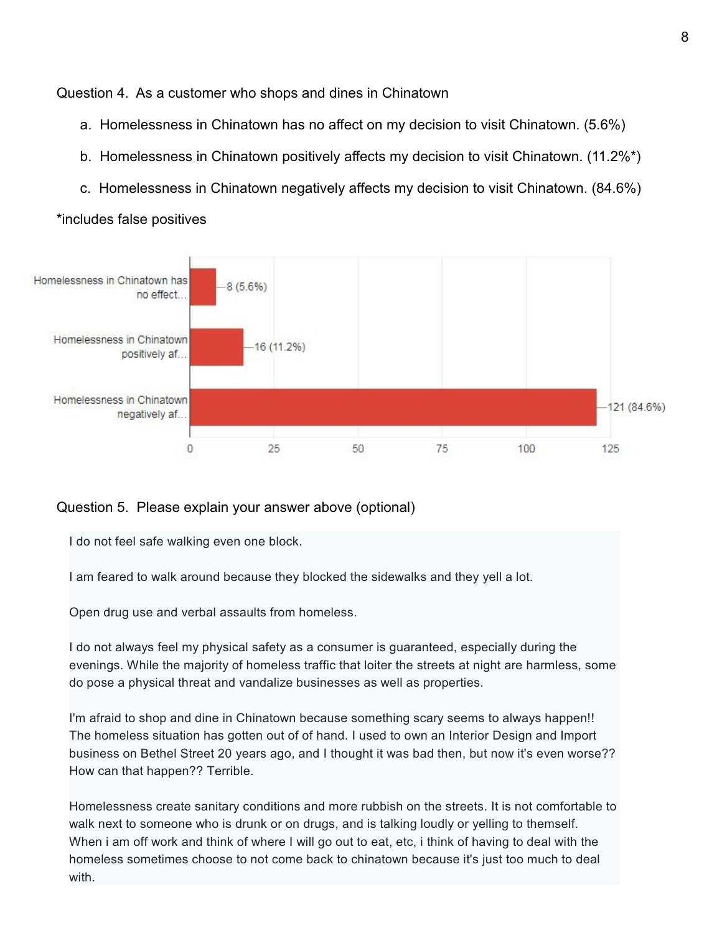Question 4. As a customer who shops and dines in Chinatown

- a. Homelessness in Chinatown has no affect on my decision to visit Chinatown. (5.6%)
- b. Homelessness in Chinatown positively affects my decision to visit Chinatown. (11.2%\*)
- c. Homelessness in Chinatown negatively affects my decision to visit Chinatown. (84.6%)



\*includes false positives

#### Question 5. Please explain your answer above (optional)

I do not feel safe walking even one block.

I am feared to walk around because they blocked the sidewalks and they yell a lot.

Open drug use and verbal assaults from homeless.

I do not always feel my physical safety as a consumer is guaranteed, especially during the evenings. While the majority of homeless traffic that loiter the streets at night are harmless, some do pose a physical threat and vandalize businesses as well as properties.

I'm afraid to shop and dine in Chinatown because something scary seems to always happen!! The homeless situation has gotten out of of hand. I used to own an Interior Design and Import business on Bethel Street 20 years ago, and I thought it was bad then, but now it's even worse?? How can that happen?? Terrible.

Homelessness create sanitary conditions and more rubbish on the streets. It is not comfortable to walk next to someone who is drunk or on drugs, and is talking loudly or yelling to themself. When i am off work and think of where I will go out to eat, etc, i think of having to deal with the homeless sometimes choose to not come back to chinatown because it's just too much to deal with.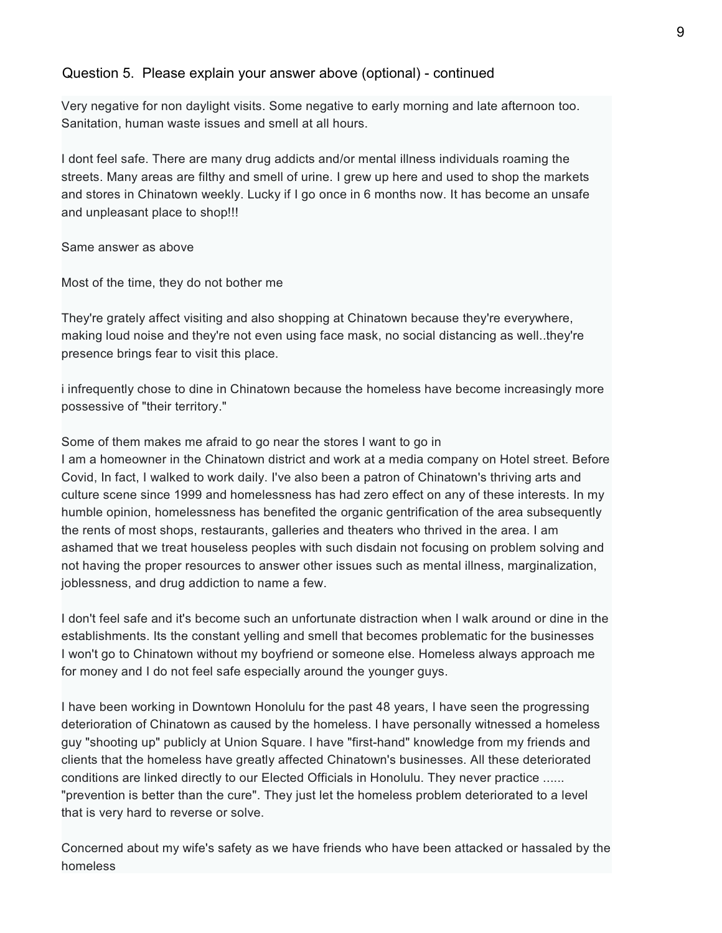Very negative for non daylight visits. Some negative to early morning and late afternoon too. Sanitation, human waste issues and smell at all hours.

I dont feel safe. There are many drug addicts and/or mental illness individuals roaming the streets. Many areas are filthy and smell of urine. I grew up here and used to shop the markets and stores in Chinatown weekly. Lucky if I go once in 6 months now. It has become an unsafe and unpleasant place to shop!!!

Same answer as above

Most of the time, they do not bother me

They're grately affect visiting and also shopping at Chinatown because they're everywhere, making loud noise and they're not even using face mask, no social distancing as well..they're presence brings fear to visit this place.

i infrequently chose to dine in Chinatown because the homeless have become increasingly more possessive of "their territory."

Some of them makes me afraid to go near the stores I want to go in I am a homeowner in the Chinatown district and work at a media company on Hotel street. Before Covid, In fact, I walked to work daily. I've also been a patron of Chinatown's thriving arts and culture scene since 1999 and homelessness has had zero effect on any of these interests. In my humble opinion, homelessness has benefited the organic gentrification of the area subsequently the rents of most shops, restaurants, galleries and theaters who thrived in the area. I am ashamed that we treat houseless peoples with such disdain not focusing on problem solving and not having the proper resources to answer other issues such as mental illness, marginalization, joblessness, and drug addiction to name a few.

I don't feel safe and it's become such an unfortunate distraction when I walk around or dine in the establishments. Its the constant yelling and smell that becomes problematic for the businesses I won't go to Chinatown without my boyfriend or someone else. Homeless always approach me for money and I do not feel safe especially around the younger guys.

I have been working in Downtown Honolulu for the past 48 years, I have seen the progressing deterioration of Chinatown as caused by the homeless. I have personally witnessed a homeless guy "shooting up" publicly at Union Square. I have "first-hand" knowledge from my friends and clients that the homeless have greatly affected Chinatown's businesses. All these deteriorated conditions are linked directly to our Elected Officials in Honolulu. They never practice ...... "prevention is better than the cure". They just let the homeless problem deteriorated to a level that is very hard to reverse or solve.

Concerned about my wife's safety as we have friends who have been attacked or hassaled by the homeless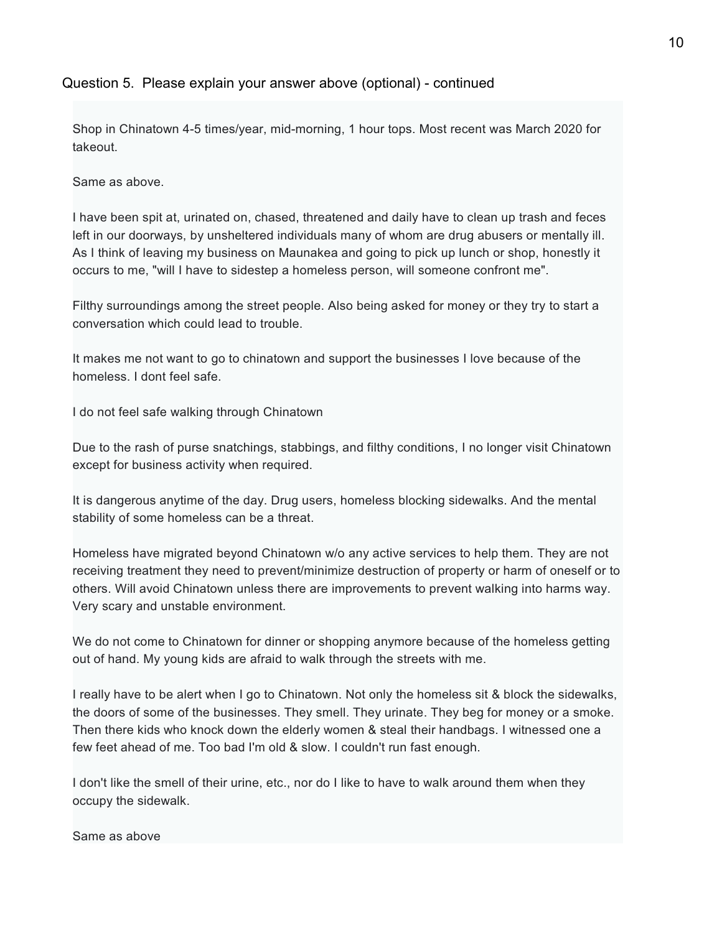Shop in Chinatown 4-5 times/year, mid-morning, 1 hour tops. Most recent was March 2020 for takeout.

Same as above.

I have been spit at, urinated on, chased, threatened and daily have to clean up trash and feces left in our doorways, by unsheltered individuals many of whom are drug abusers or mentally ill. As I think of leaving my business on Maunakea and going to pick up lunch or shop, honestly it occurs to me, "will I have to sidestep a homeless person, will someone confront me".

Filthy surroundings among the street people. Also being asked for money or they try to start a conversation which could lead to trouble.

It makes me not want to go to chinatown and support the businesses I love because of the homeless. I dont feel safe.

I do not feel safe walking through Chinatown

Due to the rash of purse snatchings, stabbings, and filthy conditions, I no longer visit Chinatown except for business activity when required.

It is dangerous anytime of the day. Drug users, homeless blocking sidewalks. And the mental stability of some homeless can be a threat.

Homeless have migrated beyond Chinatown w/o any active services to help them. They are not receiving treatment they need to prevent/minimize destruction of property or harm of oneself or to others. Will avoid Chinatown unless there are improvements to prevent walking into harms way. Very scary and unstable environment.

We do not come to Chinatown for dinner or shopping anymore because of the homeless getting out of hand. My young kids are afraid to walk through the streets with me.

I really have to be alert when I go to Chinatown. Not only the homeless sit & block the sidewalks, the doors of some of the businesses. They smell. They urinate. They beg for money or a smoke. Then there kids who knock down the elderly women & steal their handbags. I witnessed one a few feet ahead of me. Too bad I'm old & slow. I couldn't run fast enough.

I don't like the smell of their urine, etc., nor do I like to have to walk around them when they occupy the sidewalk.

Same as above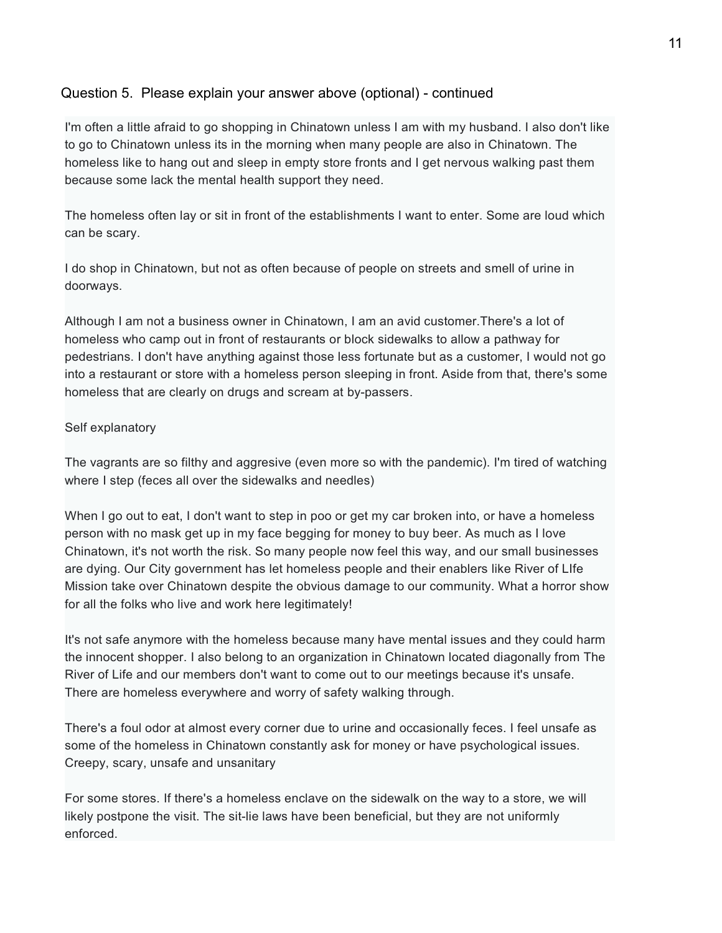I'm often a little afraid to go shopping in Chinatown unless I am with my husband. I also don't like to go to Chinatown unless its in the morning when many people are also in Chinatown. The homeless like to hang out and sleep in empty store fronts and I get nervous walking past them because some lack the mental health support they need.

The homeless often lay or sit in front of the establishments I want to enter. Some are loud which can be scary.

I do shop in Chinatown, but not as often because of people on streets and smell of urine in doorways.

Although I am not a business owner in Chinatown, I am an avid customer.There's a lot of homeless who camp out in front of restaurants or block sidewalks to allow a pathway for pedestrians. I don't have anything against those less fortunate but as a customer, I would not go into a restaurant or store with a homeless person sleeping in front. Aside from that, there's some homeless that are clearly on drugs and scream at by-passers.

#### Self explanatory

The vagrants are so filthy and aggresive (even more so with the pandemic). I'm tired of watching where I step (feces all over the sidewalks and needles)

When I go out to eat, I don't want to step in poo or get my car broken into, or have a homeless person with no mask get up in my face begging for money to buy beer. As much as I love Chinatown, it's not worth the risk. So many people now feel this way, and our small businesses are dying. Our City government has let homeless people and their enablers like River of LIfe Mission take over Chinatown despite the obvious damage to our community. What a horror show for all the folks who live and work here legitimately!

It's not safe anymore with the homeless because many have mental issues and they could harm the innocent shopper. I also belong to an organization in Chinatown located diagonally from The River of Life and our members don't want to come out to our meetings because it's unsafe. There are homeless everywhere and worry of safety walking through.

There's a foul odor at almost every corner due to urine and occasionally feces. I feel unsafe as some of the homeless in Chinatown constantly ask for money or have psychological issues. Creepy, scary, unsafe and unsanitary

For some stores. If there's a homeless enclave on the sidewalk on the way to a store, we will likely postpone the visit. The sit-lie laws have been beneficial, but they are not uniformly enforced.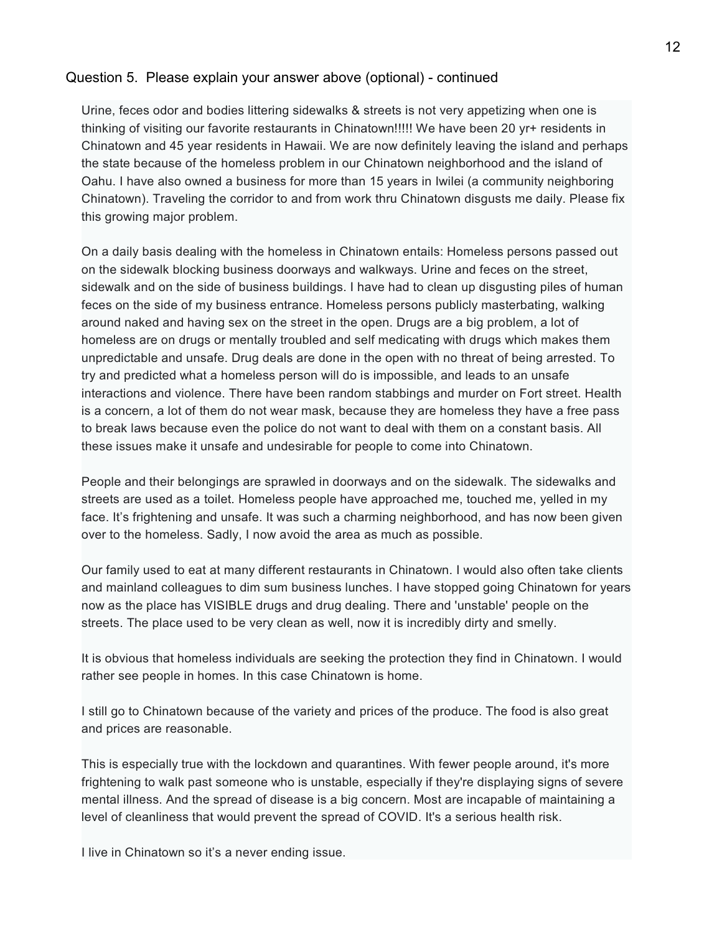Urine, feces odor and bodies littering sidewalks & streets is not very appetizing when one is thinking of visiting our favorite restaurants in Chinatown!!!!! We have been 20 yr+ residents in Chinatown and 45 year residents in Hawaii. We are now definitely leaving the island and perhaps the state because of the homeless problem in our Chinatown neighborhood and the island of Oahu. I have also owned a business for more than 15 years in Iwilei (a community neighboring Chinatown). Traveling the corridor to and from work thru Chinatown disgusts me daily. Please fix this growing major problem.

On a daily basis dealing with the homeless in Chinatown entails: Homeless persons passed out on the sidewalk blocking business doorways and walkways. Urine and feces on the street, sidewalk and on the side of business buildings. I have had to clean up disgusting piles of human feces on the side of my business entrance. Homeless persons publicly masterbating, walking around naked and having sex on the street in the open. Drugs are a big problem, a lot of homeless are on drugs or mentally troubled and self medicating with drugs which makes them unpredictable and unsafe. Drug deals are done in the open with no threat of being arrested. To try and predicted what a homeless person will do is impossible, and leads to an unsafe interactions and violence. There have been random stabbings and murder on Fort street. Health is a concern, a lot of them do not wear mask, because they are homeless they have a free pass to break laws because even the police do not want to deal with them on a constant basis. All these issues make it unsafe and undesirable for people to come into Chinatown.

People and their belongings are sprawled in doorways and on the sidewalk. The sidewalks and streets are used as a toilet. Homeless people have approached me, touched me, yelled in my face. It's frightening and unsafe. It was such a charming neighborhood, and has now been given over to the homeless. Sadly, I now avoid the area as much as possible.

Our family used to eat at many different restaurants in Chinatown. I would also often take clients and mainland colleagues to dim sum business lunches. I have stopped going Chinatown for years now as the place has VISIBLE drugs and drug dealing. There and 'unstable' people on the streets. The place used to be very clean as well, now it is incredibly dirty and smelly.

It is obvious that homeless individuals are seeking the protection they find in Chinatown. I would rather see people in homes. In this case Chinatown is home.

I still go to Chinatown because of the variety and prices of the produce. The food is also great and prices are reasonable.

This is especially true with the lockdown and quarantines. With fewer people around, it's more frightening to walk past someone who is unstable, especially if they're displaying signs of severe mental illness. And the spread of disease is a big concern. Most are incapable of maintaining a level of cleanliness that would prevent the spread of COVID. It's a serious health risk.

I live in Chinatown so it's a never ending issue.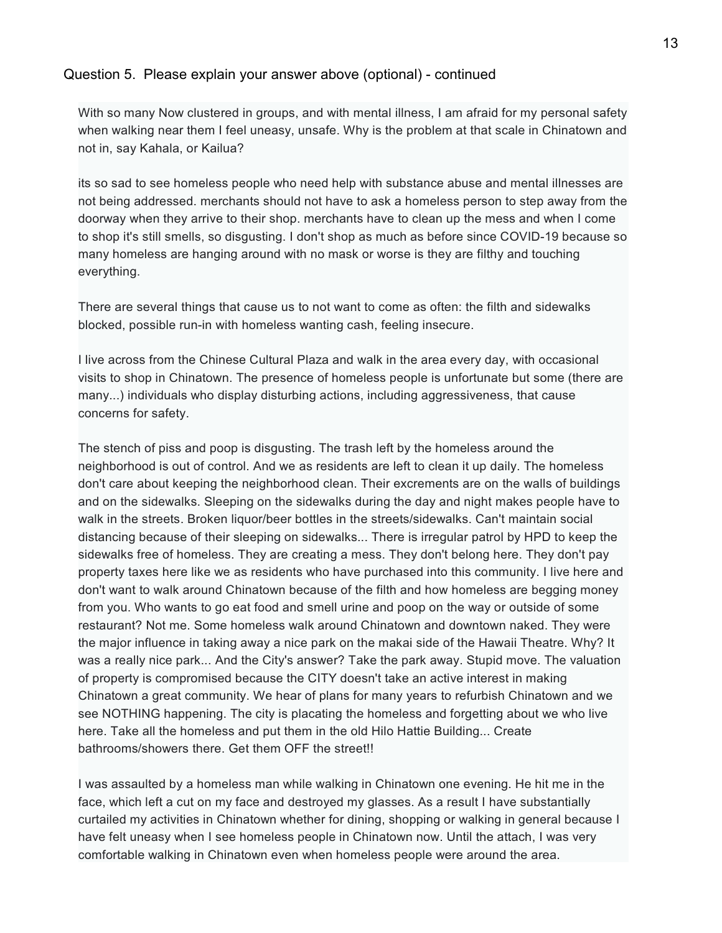With so many Now clustered in groups, and with mental illness, I am afraid for my personal safety when walking near them I feel uneasy, unsafe. Why is the problem at that scale in Chinatown and not in, say Kahala, or Kailua?

its so sad to see homeless people who need help with substance abuse and mental illnesses are not being addressed. merchants should not have to ask a homeless person to step away from the doorway when they arrive to their shop. merchants have to clean up the mess and when I come to shop it's still smells, so disgusting. I don't shop as much as before since COVID-19 because so many homeless are hanging around with no mask or worse is they are filthy and touching everything.

There are several things that cause us to not want to come as often: the filth and sidewalks blocked, possible run-in with homeless wanting cash, feeling insecure.

I live across from the Chinese Cultural Plaza and walk in the area every day, with occasional visits to shop in Chinatown. The presence of homeless people is unfortunate but some (there are many...) individuals who display disturbing actions, including aggressiveness, that cause concerns for safety.

The stench of piss and poop is disgusting. The trash left by the homeless around the neighborhood is out of control. And we as residents are left to clean it up daily. The homeless don't care about keeping the neighborhood clean. Their excrements are on the walls of buildings and on the sidewalks. Sleeping on the sidewalks during the day and night makes people have to walk in the streets. Broken liquor/beer bottles in the streets/sidewalks. Can't maintain social distancing because of their sleeping on sidewalks... There is irregular patrol by HPD to keep the sidewalks free of homeless. They are creating a mess. They don't belong here. They don't pay property taxes here like we as residents who have purchased into this community. I live here and don't want to walk around Chinatown because of the filth and how homeless are begging money from you. Who wants to go eat food and smell urine and poop on the way or outside of some restaurant? Not me. Some homeless walk around Chinatown and downtown naked. They were the major influence in taking away a nice park on the makai side of the Hawaii Theatre. Why? It was a really nice park... And the City's answer? Take the park away. Stupid move. The valuation of property is compromised because the CITY doesn't take an active interest in making Chinatown a great community. We hear of plans for many years to refurbish Chinatown and we see NOTHING happening. The city is placating the homeless and forgetting about we who live here. Take all the homeless and put them in the old Hilo Hattie Building... Create bathrooms/showers there. Get them OFF the street!!

I was assaulted by a homeless man while walking in Chinatown one evening. He hit me in the face, which left a cut on my face and destroyed my glasses. As a result I have substantially curtailed my activities in Chinatown whether for dining, shopping or walking in general because I have felt uneasy when I see homeless people in Chinatown now. Until the attach, I was very comfortable walking in Chinatown even when homeless people were around the area.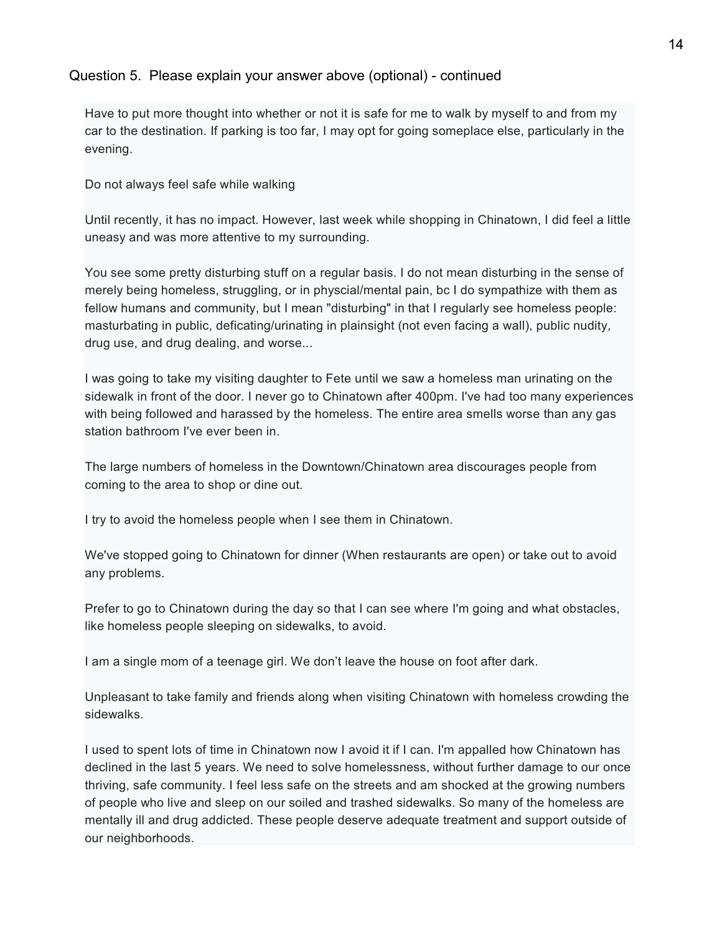Have to put more thought into whether or not it is safe for me to walk by myself to and from my car to the destination. If parking is too far, I may opt for going someplace else, particularly in the evening.

Do not always feel safe while walking

Until recently, it has no impact. However, last week while shopping in Chinatown, I did feel a little uneasy and was more attentive to my surrounding.

You see some pretty disturbing stuff on a regular basis. I do not mean disturbing in the sense of merely being homeless, struggling, or in physcial/mental pain, bc I do sympathize with them as fellow humans and community, but I mean "disturbing" in that I regularly see homeless people: masturbating in public, deficating/urinating in plainsight (not even facing a wall), public nudity, drug use, and drug dealing, and worse...

I was going to take my visiting daughter to Fete until we saw a homeless man urinating on the sidewalk in front of the door. I never go to Chinatown after 400pm. I've had too many experiences with being followed and harassed by the homeless. The entire area smells worse than any gas station bathroom I've ever been in.

The large numbers of homeless in the Downtown/Chinatown area discourages people from coming to the area to shop or dine out.

I try to avoid the homeless people when I see them in Chinatown.

We've stopped going to Chinatown for dinner (When restaurants are open) or take out to avoid any problems.

Prefer to go to Chinatown during the day so that I can see where I'm going and what obstacles, like homeless people sleeping on sidewalks, to avoid.

I am a single mom of a teenage girl. We don't leave the house on foot after dark.

Unpleasant to take family and friends along when visiting Chinatown with homeless crowding the sidewalks.

I used to spent lots of time in Chinatown now I avoid it if I can. I'm appalled how Chinatown has declined in the last 5 years. We need to solve homelessness, without further damage to our once thriving, safe community. I feel less safe on the streets and am shocked at the growing numbers of people who live and sleep on our soiled and trashed sidewalks. So many of the homeless are mentally ill and drug addicted. These people deserve adequate treatment and support outside of our neighborhoods.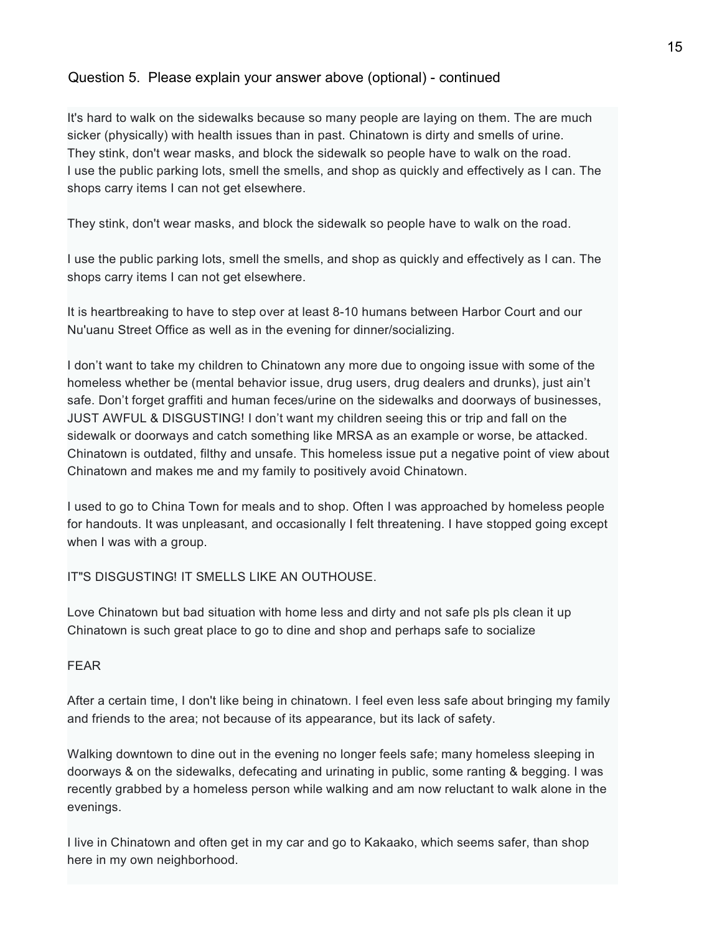It's hard to walk on the sidewalks because so many people are laying on them. The are much sicker (physically) with health issues than in past. Chinatown is dirty and smells of urine. They stink, don't wear masks, and block the sidewalk so people have to walk on the road. I use the public parking lots, smell the smells, and shop as quickly and effectively as I can. The shops carry items I can not get elsewhere.

They stink, don't wear masks, and block the sidewalk so people have to walk on the road.

I use the public parking lots, smell the smells, and shop as quickly and effectively as I can. The shops carry items I can not get elsewhere.

It is heartbreaking to have to step over at least 8-10 humans between Harbor Court and our Nu'uanu Street Office as well as in the evening for dinner/socializing.

I don't want to take my children to Chinatown any more due to ongoing issue with some of the homeless whether be (mental behavior issue, drug users, drug dealers and drunks), just ain't safe. Don't forget graffiti and human feces/urine on the sidewalks and doorways of businesses, JUST AWFUL & DISGUSTING! I don't want my children seeing this or trip and fall on the sidewalk or doorways and catch something like MRSA as an example or worse, be attacked. Chinatown is outdated, filthy and unsafe. This homeless issue put a negative point of view about Chinatown and makes me and my family to positively avoid Chinatown.

I used to go to China Town for meals and to shop. Often I was approached by homeless people for handouts. It was unpleasant, and occasionally I felt threatening. I have stopped going except when I was with a group.

#### IT"S DISGUSTING! IT SMELLS LIKE AN OUTHOUSE.

Love Chinatown but bad situation with home less and dirty and not safe pls pls clean it up Chinatown is such great place to go to dine and shop and perhaps safe to socialize

#### FEAR

After a certain time, I don't like being in chinatown. I feel even less safe about bringing my family and friends to the area; not because of its appearance, but its lack of safety.

Walking downtown to dine out in the evening no longer feels safe; many homeless sleeping in doorways & on the sidewalks, defecating and urinating in public, some ranting & begging. I was recently grabbed by a homeless person while walking and am now reluctant to walk alone in the evenings.

I live in Chinatown and often get in my car and go to Kakaako, which seems safer, than shop here in my own neighborhood.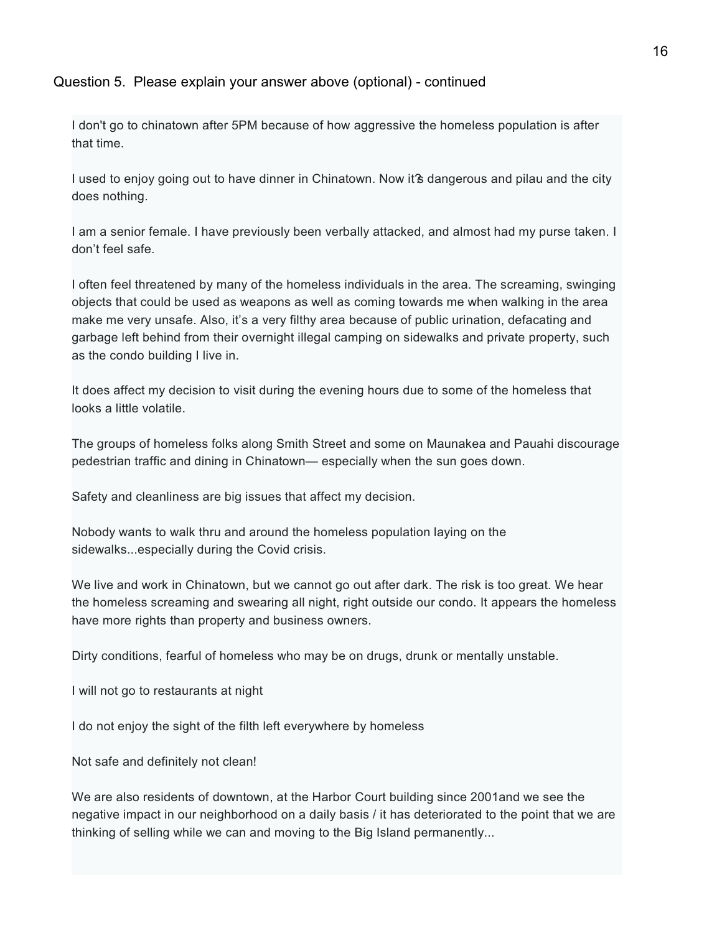I don't go to chinatown after 5PM because of how aggressive the homeless population is after that time.

I used to enjoy going out to have dinner in Chinatown. Now it's dangerous and pilau and the city does nothing.

I am a senior female. I have previously been verbally attacked, and almost had my purse taken. I don't feel safe.

I often feel threatened by many of the homeless individuals in the area. The screaming, swinging objects that could be used as weapons as well as coming towards me when walking in the area make me very unsafe. Also, it's a very filthy area because of public urination, defacating and garbage left behind from their overnight illegal camping on sidewalks and private property, such as the condo building I live in.

It does affect my decision to visit during the evening hours due to some of the homeless that looks a little volatile.

The groups of homeless folks along Smith Street and some on Maunakea and Pauahi discourage pedestrian traffic and dining in Chinatown— especially when the sun goes down.

Safety and cleanliness are big issues that affect my decision.

Nobody wants to walk thru and around the homeless population laying on the sidewalks...especially during the Covid crisis.

We live and work in Chinatown, but we cannot go out after dark. The risk is too great. We hear the homeless screaming and swearing all night, right outside our condo. It appears the homeless have more rights than property and business owners.

Dirty conditions, fearful of homeless who may be on drugs, drunk or mentally unstable.

I will not go to restaurants at night

I do not enjoy the sight of the filth left everywhere by homeless

Not safe and definitely not clean!

We are also residents of downtown, at the Harbor Court building since 2001and we see the negative impact in our neighborhood on a daily basis / it has deteriorated to the point that we are thinking of selling while we can and moving to the Big Island permanently...